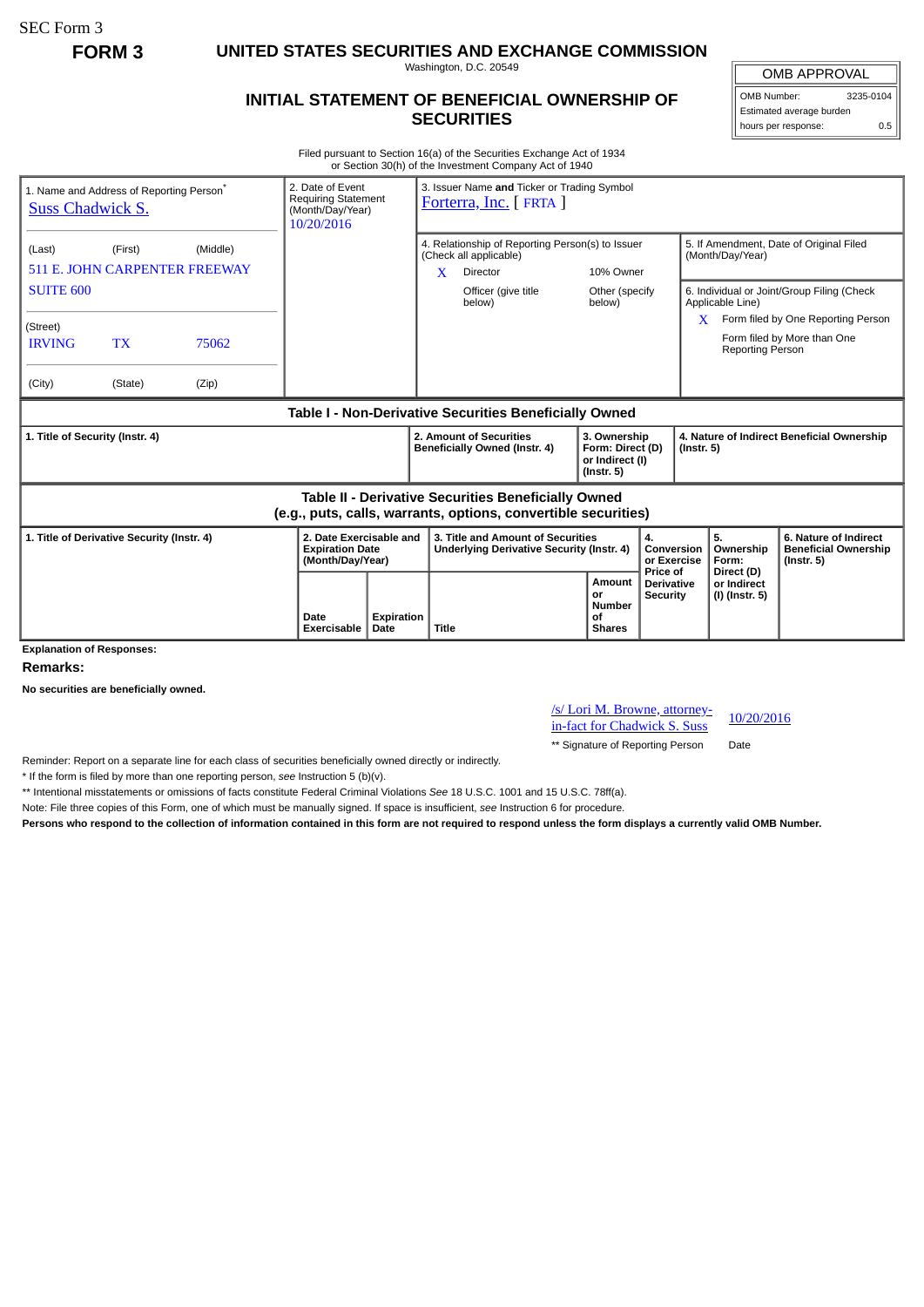SEC Form 3

**FORM 3 UNITED STATES SECURITIES AND EXCHANGE COMMISSION**

Washington, D.C. 20549

## **INITIAL STATEMENT OF BENEFICIAL OWNERSHIP OF SECURITIES**

OMB APPROVAL

OMB Number: 3235-0104 Estimated average burden hours per response: 0.5

Filed pursuant to Section 16(a) of the Securities Exchange Act of 1934 or Section 30(h) of the Investment Company Act of 1940

| <b>Suss Chadwick S.</b>                                                                                                      | 1. Name and Address of Reporting Person <sup>®</sup> | 2. Date of Event<br><b>Requiring Statement</b><br>(Month/Day/Year)<br>10/20/2016 |                                                                       | 3. Issuer Name and Ticker or Trading Symbol<br>Forterra, Inc. [FRTA ] |                                                                                                                            |                          |                                                                         |                                                                |                                                                |                                             |                                                                          |
|------------------------------------------------------------------------------------------------------------------------------|------------------------------------------------------|----------------------------------------------------------------------------------|-----------------------------------------------------------------------|-----------------------------------------------------------------------|----------------------------------------------------------------------------------------------------------------------------|--------------------------|-------------------------------------------------------------------------|----------------------------------------------------------------|----------------------------------------------------------------|---------------------------------------------|--------------------------------------------------------------------------|
| (First)<br>(Middle)<br>(Last)<br><b>511 E. JOHN CARPENTER FREEWAY</b>                                                        |                                                      |                                                                                  |                                                                       |                                                                       | 4. Relationship of Reporting Person(s) to Issuer<br>(Check all applicable)<br>$\mathbf{X}$<br><b>Director</b><br>10% Owner |                          |                                                                         |                                                                | 5. If Amendment, Date of Original Filed<br>(Month/Day/Year)    |                                             |                                                                          |
| <b>SUITE 600</b>                                                                                                             |                                                      |                                                                                  |                                                                       | Officer (give title<br>below)                                         |                                                                                                                            | Other (specify<br>below) |                                                                         | 6. Individual or Joint/Group Filing (Check<br>Applicable Line) |                                                                |                                             |                                                                          |
| (Street)<br><b>IRVING</b>                                                                                                    | <b>TX</b>                                            | 75062                                                                            |                                                                       |                                                                       |                                                                                                                            |                          |                                                                         |                                                                | X.                                                             | <b>Reporting Person</b>                     | Form filed by One Reporting Person<br>Form filed by More than One        |
| (City)                                                                                                                       | (State)                                              | (Zip)                                                                            |                                                                       |                                                                       |                                                                                                                            |                          |                                                                         |                                                                |                                                                |                                             |                                                                          |
| Table I - Non-Derivative Securities Beneficially Owned                                                                       |                                                      |                                                                                  |                                                                       |                                                                       |                                                                                                                            |                          |                                                                         |                                                                |                                                                |                                             |                                                                          |
| 1. Title of Security (Instr. 4)                                                                                              |                                                      |                                                                                  |                                                                       |                                                                       | 2. Amount of Securities<br>Beneficially Owned (Instr. 4)                                                                   |                          | 3. Ownership<br>Form: Direct (D)<br>or Indirect (I)<br>$($ lnstr. 5 $)$ |                                                                | 4. Nature of Indirect Beneficial Ownership<br>$($ Instr. 5 $)$ |                                             |                                                                          |
| <b>Table II - Derivative Securities Beneficially Owned</b><br>(e.g., puts, calls, warrants, options, convertible securities) |                                                      |                                                                                  |                                                                       |                                                                       |                                                                                                                            |                          |                                                                         |                                                                |                                                                |                                             |                                                                          |
| 1. Title of Derivative Security (Instr. 4)                                                                                   |                                                      |                                                                                  | 2. Date Exercisable and<br><b>Expiration Date</b><br>(Month/Day/Year) |                                                                       | 3. Title and Amount of Securities<br>Underlying Derivative Security (Instr. 4)                                             |                          |                                                                         | 4.<br>Conversion<br>or Exercise                                |                                                                | 5.<br>Ownership<br>Form:                    | 6. Nature of Indirect<br><b>Beneficial Ownership</b><br>$($ lnstr. 5 $)$ |
| <b>Explanation of Responses:</b>                                                                                             |                                                      |                                                                                  | Date<br><b>Exercisable</b>                                            | Expiration<br>Date                                                    | Title                                                                                                                      |                          | <b>Amount</b><br>or<br><b>Number</b><br>οf<br><b>Shares</b>             | Price of<br><b>Derivative</b><br><b>Security</b>               |                                                                | Direct (D)<br>or Indirect<br>(I) (Instr. 5) |                                                                          |

**Remarks:**

**No securities are beneficially owned.**

/s/ Lori M. Browne, attorney- $\frac{10}{20}$  in-fact for Chadwick S. Suss  $\frac{10}{20}$ 

\*\* Signature of Reporting Person Date

Reminder: Report on a separate line for each class of securities beneficially owned directly or indirectly.

\* If the form is filed by more than one reporting person, *see* Instruction 5 (b)(v).

\*\* Intentional misstatements or omissions of facts constitute Federal Criminal Violations *See* 18 U.S.C. 1001 and 15 U.S.C. 78ff(a).

Note: File three copies of this Form, one of which must be manually signed. If space is insufficient, *see* Instruction 6 for procedure.

**Persons who respond to the collection of information contained in this form are not required to respond unless the form displays a currently valid OMB Number.**